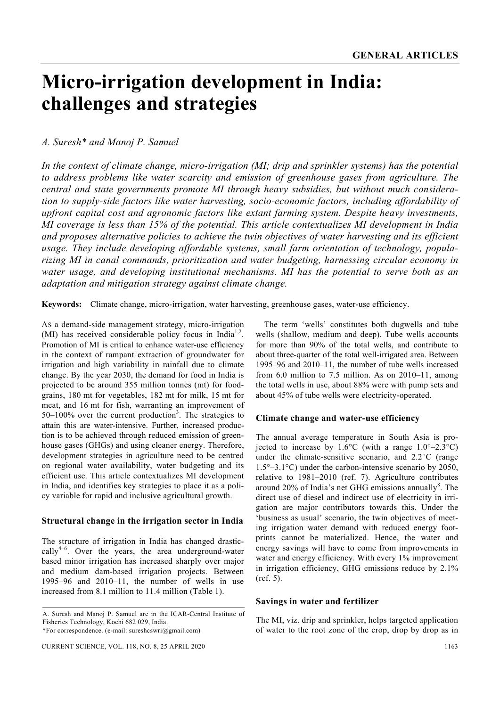# **Micro-irrigation development in India: challenges and strategies**

# *A. Suresh\* and Manoj P. Samuel*

*In the context of climate change, micro-irrigation (MI; drip and sprinkler systems) has the potential to address problems like water scarcity and emission of greenhouse gases from agriculture. The central and state governments promote MI through heavy subsidies, but without much consideration to supply-side factors like water harvesting, socio-economic factors, including affordability of upfront capital cost and agronomic factors like extant farming system. Despite heavy investments, MI coverage is less than 15% of the potential. This article contextualizes MI development in India and proposes alternative policies to achieve the twin objectives of water harvesting and its efficient usage. They include developing affordable systems, small farm orientation of technology, popularizing MI in canal commands, prioritization and water budgeting, harnessing circular economy in water usage, and developing institutional mechanisms. MI has the potential to serve both as an adaptation and mitigation strategy against climate change.* 

**Keywords:** Climate change, micro-irrigation, water harvesting, greenhouse gases, water-use efficiency.

AS a demand-side management strategy, micro-irrigation (MI) has received considerable policy focus in India<sup>1,2</sup>. Promotion of MI is critical to enhance water-use efficiency in the context of rampant extraction of groundwater for irrigation and high variability in rainfall due to climate change. By the year 2030, the demand for food in India is projected to be around 355 million tonnes (mt) for foodgrains, 180 mt for vegetables, 182 mt for milk, 15 mt for meat, and 16 mt for fish, warranting an improvement of  $50-100\%$  over the current production<sup>3</sup>. The strategies to attain this are water-intensive. Further, increased production is to be achieved through reduced emission of greenhouse gases (GHGs) and using cleaner energy. Therefore, development strategies in agriculture need to be centred on regional water availability, water budgeting and its efficient use. This article contextualizes MI development in India, and identifies key strategies to place it as a policy variable for rapid and inclusive agricultural growth.

## **Structural change in the irrigation sector in India**

The structure of irrigation in India has changed drastic- $\text{callv}^{4-6}$ . Over the years, the area underground-water based minor irrigation has increased sharply over major and medium dam-based irrigation projects. Between 1995–96 and 2010–11, the number of wells in use increased from 8.1 million to 11.4 million (Table 1).

 The term 'wells' constitutes both dugwells and tube wells (shallow, medium and deep). Tube wells accounts for more than 90% of the total wells, and contribute to about three-quarter of the total well-irrigated area. Between 1995–96 and 2010–11, the number of tube wells increased from  $6.0$  million to  $7.5$  million. As on  $2010-11$ , among the total wells in use, about 88% were with pump sets and about 45% of tube wells were electricity-operated.

## **Climate change and water-use efficiency**

The annual average temperature in South Asia is projected to increase by  $1.6^{\circ}$ C (with a range  $1.0^{\circ}$ –2.3°C) under the climate-sensitive scenario, and 2.2°C (range 1.5°–3.1°C) under the carbon-intensive scenario by 2050, relative to 1981–2010 (ref. 7). Agriculture contributes around  $20\%$  of India's net GHG emissions annually $\delta$ . The direct use of diesel and indirect use of electricity in irrigation are major contributors towards this. Under the 'business as usual' scenario, the twin objectives of meeting irrigation water demand with reduced energy footprints cannot be materialized. Hence, the water and energy savings will have to come from improvements in water and energy efficiency. With every 1% improvement in irrigation efficiency, GHG emissions reduce by 2.1% (ref. 5).

## **Savings in water and fertilizer**

The MI, viz. drip and sprinkler, helps targeted application of water to the root zone of the crop, drop by drop as in

A. Suresh and Manoj P. Samuel are in the ICAR-Central Institute of Fisheries Technology, Kochi 682 029, India. \*For correspondence. (e-mail: sureshcswri@gmail.com)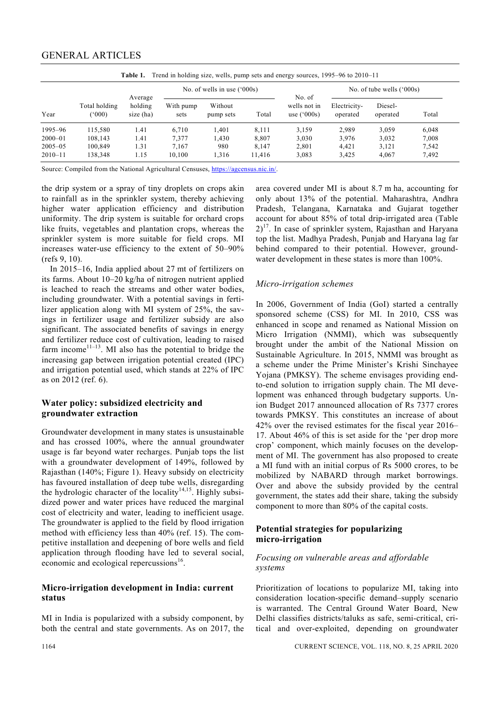| Year        | Total holding<br>(000) | Average<br>holding<br>size (ha) |                   | No. of wells in use $(^{6}000s)$ |        | No. of<br>wells not in<br>use $(^{6}000s)$ | No. of tube wells $('000s)$ |                     |       |
|-------------|------------------------|---------------------------------|-------------------|----------------------------------|--------|--------------------------------------------|-----------------------------|---------------------|-------|
|             |                        |                                 | With pump<br>sets | Without<br>pump sets             | Total  |                                            | Electricity-<br>operated    | Diesel-<br>operated | Total |
| 1995-96     | 115,580                | 1.41                            | 6.710             | 1.401                            | 8.111  | 3.159                                      | 2.989                       | 3.059               | 6,048 |
| $2000 - 01$ | 108,143                | 1.41                            | 7,377             | 1,430                            | 8,807  | 3,030                                      | 3.976                       | 3,032               | 7,008 |
| $2005 - 05$ | 100,849                | 1.31                            | 7.167             | 980                              | 8.147  | 2,801                                      | 4.421                       | 3,121               | 7.542 |
| $2010 - 11$ | 138,348                | 1.15                            | 10.100            | 1.316                            | 11.416 | 3,083                                      | 3,425                       | 4.067               | 7.492 |

Source: Compiled from the National Agricultural Censuses, https://agcensus.nic.in/.

the drip system or a spray of tiny droplets on crops akin to rainfall as in the sprinkler system, thereby achieving higher water application efficiency and distribution uniformity. The drip system is suitable for orchard crops like fruits, vegetables and plantation crops, whereas the sprinkler system is more suitable for field crops. MI increases water-use efficiency to the extent of 50–90% (refs 9, 10).

 In 2015–16, India applied about 27 mt of fertilizers on its farms. About 10–20 kg/ha of nitrogen nutrient applied is leached to reach the streams and other water bodies, including groundwater. With a potential savings in fertilizer application along with MI system of 25%, the savings in fertilizer usage and fertilizer subsidy are also significant. The associated benefits of savings in energy and fertilizer reduce cost of cultivation, leading to raised farm income<sup>11–13</sup>. MI also has the potential to bridge the increasing gap between irrigation potential created (IPC) and irrigation potential used, which stands at 22% of IPC as on 2012 (ref. 6).

## **Water policy: subsidized electricity and groundwater extraction**

Groundwater development in many states is unsustainable and has crossed 100%, where the annual groundwater usage is far beyond water recharges. Punjab tops the list with a groundwater development of 149%, followed by Rajasthan (140%; Figure 1). Heavy subsidy on electricity has favoured installation of deep tube wells, disregarding the hydrologic character of the locality<sup>14,15</sup>. Highly subsidized power and water prices have reduced the marginal cost of electricity and water, leading to inefficient usage. The groundwater is applied to the field by flood irrigation method with efficiency less than 40% (ref. 15). The competitive installation and deepening of bore wells and field application through flooding have led to several social, economic and ecological repercussions<sup>16</sup>.

## **Micro-irrigation development in India: current status**

MI in India is popularized with a subsidy component, by both the central and state governments. As on 2017, the area covered under MI is about 8.7 m ha, accounting for only about 13% of the potential. Maharashtra, Andhra Pradesh, Telangana, Karnataka and Gujarat together account for about 85% of total drip-irrigated area (Table  $2)^{17}$ . In case of sprinkler system, Rajasthan and Haryana top the list. Madhya Pradesh, Punjab and Haryana lag far behind compared to their potential. However, groundwater development in these states is more than 100%.

## *Micro-irrigation schemes*

In 2006, Government of India (GoI) started a centrally sponsored scheme (CSS) for MI. In 2010, CSS was enhanced in scope and renamed as National Mission on Micro Irrigation (NMMI), which was subsequently brought under the ambit of the National Mission on Sustainable Agriculture. In 2015, NMMI was brought as a scheme under the Prime Minister's Krishi Sinchayee Yojana (PMKSY). The scheme envisages providing endto-end solution to irrigation supply chain. The MI development was enhanced through budgetary supports. Union Budget 2017 announced allocation of Rs 7377 crores towards PMKSY. This constitutes an increase of about 42% over the revised estimates for the fiscal year 2016– 17. About 46% of this is set aside for the 'per drop more crop' component, which mainly focuses on the development of MI. The government has also proposed to create a MI fund with an initial corpus of Rs 5000 crores, to be mobilized by NABARD through market borrowings. Over and above the subsidy provided by the central government, the states add their share, taking the subsidy component to more than 80% of the capital costs.

# **Potential strategies for popularizing micro-irrigation**

## *Focusing on vulnerable areas and affordable systems*

Prioritization of locations to popularize MI, taking into consideration location-specific demand–supply scenario is warranted. The Central Ground Water Board, New Delhi classifies districts/taluks as safe, semi-critical, critical and over-exploited, depending on groundwater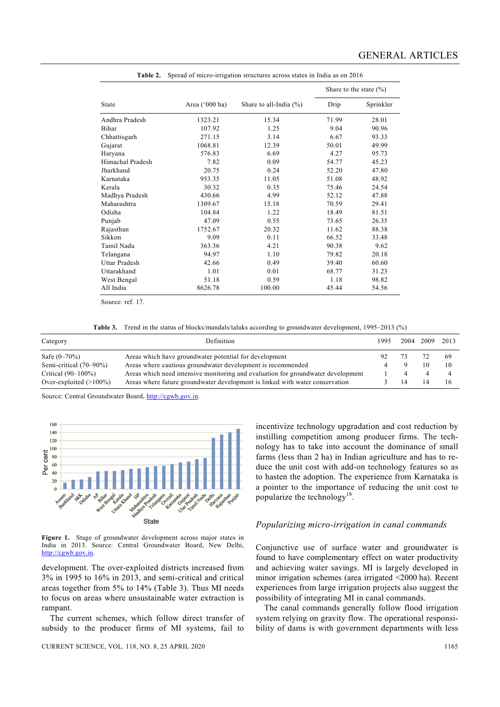|                      |                  |                           | Share to the state $(\% )$ |           |  |  |
|----------------------|------------------|---------------------------|----------------------------|-----------|--|--|
| State                | Area $('000 ha)$ | Share to all-India $(\%)$ | Drip                       | Sprinkler |  |  |
| Andhra Pradesh       | 1323.21          | 15.34                     | 71.99                      | 28.01     |  |  |
| Bihar                | 107.92           | 1.25                      | 9.04                       | 90.96     |  |  |
| Chhattisgarh         | 271.15           | 3.14                      | 6.67                       | 93.33     |  |  |
| Gujarat              | 1068.81          | 12.39                     | 50.01                      | 49.99     |  |  |
| Haryana              | 576.83           | 6.69                      | 4.27                       | 95.73     |  |  |
| Himachal Pradesh     | 7.82             | 0.09                      | 54.77                      | 45.23     |  |  |
| Jharkhand            | 20.75            | 0.24                      | 52.20                      | 47.80     |  |  |
| Karnataka            | 953.35           | 11.05                     | 51.08                      | 48.92     |  |  |
| Kerala               | 30.32            | 0.35                      | 75.46                      | 24.54     |  |  |
| Madhya Pradesh       | 430.66           | 4.99                      | 52.12                      | 47.88     |  |  |
| Maharashtra          | 1309.67          | 15.18                     | 70.59                      | 29.41     |  |  |
| Odisha               | 104.84           | 1.22                      | 18.49                      | 81.51     |  |  |
| Punjab               | 47.09            | 0.55                      | 73.65                      | 26.35     |  |  |
| Rajasthan            | 1752.67          | 20.32                     | 11.62                      | 88.38     |  |  |
| Sikkim               | 9.09             | 0.11                      | 66.52                      | 33.48     |  |  |
| Tamil Nadu           | 363.36           | 4.21                      | 90.38                      | 9.62      |  |  |
| Telangana            | 94.97            | 1.10                      | 79.82                      | 20.18     |  |  |
| <b>Uttar Pradesh</b> | 42.66            | 0.49                      | 39.40                      | 60.60     |  |  |
| Uttarakhand          | 1.01             | 0.01                      | 68.77                      | 31.23     |  |  |
| West Bengal          | 51.18            | 0.59                      | 1.18                       | 98.82     |  |  |
| All India            | 8626.78          | 100.00                    | 45.44                      | 54.56     |  |  |

**Table 2.** Spread of micro-irrigation structures across states in India as on 2016

Source: ref. 17.

**Table 3.** Trend in the status of blocks/mandals/taluks according to groundwater development, 1995–2013 (%)

| Category                  | Definition                                                                       | 1995. | 2004 2009 2013 |     |
|---------------------------|----------------------------------------------------------------------------------|-------|----------------|-----|
| Safe $(0-70\%)$           | Areas which have groundwater potential for development                           | 92    |                | -69 |
| Semi-critical $(70-90\%)$ | Areas where cautious groundwater development is recommended                      |       |                |     |
| Critical $(90-100\%)$     | Areas which need intensive monitoring and evaluation for groundwater development |       |                |     |
| Over-exploited $(>100\%)$ | Areas where future groundwater development is linked with water conservation     |       |                |     |

Source: Central Groundwater Board, http://cgwb.gov.in.

160  $140$ 120  $100$ Per cent 80 60  $\overline{40}$  $\overline{20}$ State

**Figure 1.** Stage of groundwater development across major states in India in 2013. Source: Central Groundwater Board, New Delhi, http://cgwb.gov.in.

development. The over-exploited districts increased from 3% in 1995 to 16% in 2013, and semi-critical and critical areas together from 5% to 14% (Table 3). Thus MI needs to focus on areas where unsustainable water extraction is rampant.

 The current schemes, which follow direct transfer of subsidy to the producer firms of MI systems, fail to

incentivize technology upgradation and cost reduction by instilling competition among producer firms. The technology has to take into account the dominance of small farms (less than 2 ha) in Indian agriculture and has to reduce the unit cost with add-on technology features so as to hasten the adoption. The experience from Karnataka is a pointer to the importance of reducing the unit cost to popularize the technology<sup>18</sup>.

#### *Popularizing micro-irrigation in canal commands*

Conjunctive use of surface water and groundwater is found to have complementary effect on water productivity and achieving water savings. MI is largely developed in minor irrigation schemes (area irrigated <2000 ha). Recent experiences from large irrigation projects also suggest the possibility of integrating MI in canal commands.

 The canal commands generally follow flood irrigation system relying on gravity flow. The operational responsibility of dams is with government departments with less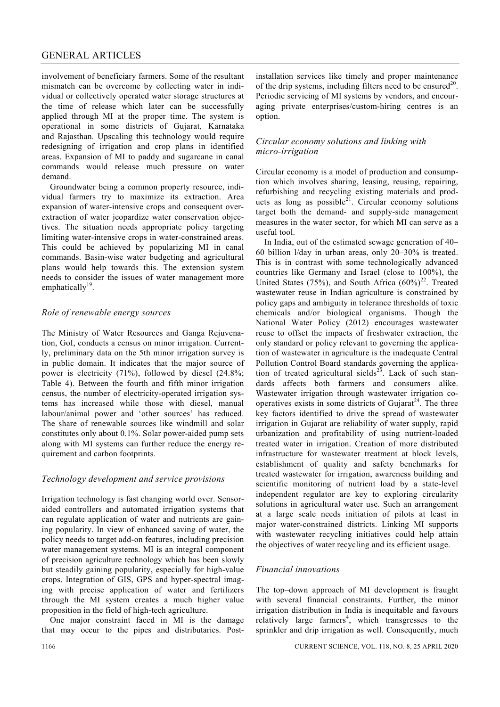# GENERAL ARTICLES

involvement of beneficiary farmers. Some of the resultant mismatch can be overcome by collecting water in individual or collectively operated water storage structures at the time of release which later can be successfully applied through MI at the proper time. The system is operational in some districts of Gujarat, Karnataka and Rajasthan. Upscaling this technology would require redesigning of irrigation and crop plans in identified areas. Expansion of MI to paddy and sugarcane in canal commands would release much pressure on water demand.

 Groundwater being a common property resource, individual farmers try to maximize its extraction. Area expansion of water-intensive crops and consequent overextraction of water jeopardize water conservation objectives. The situation needs appropriate policy targeting limiting water-intensive crops in water-constrained areas. This could be achieved by popularizing MI in canal commands. Basin-wise water budgeting and agricultural plans would help towards this. The extension system needs to consider the issues of water management more emphatically $19$ .

## *Role of renewable energy sources*

The Ministry of Water Resources and Ganga Rejuvenation, GoI, conducts a census on minor irrigation. Currently, preliminary data on the 5th minor irrigation survey is in public domain. It indicates that the major source of power is electricity (71%), followed by diesel (24.8%; Table 4). Between the fourth and fifth minor irrigation census, the number of electricity-operated irrigation systems has increased while those with diesel, manual labour/animal power and 'other sources' has reduced. The share of renewable sources like windmill and solar constitutes only about 0.1%. Solar power-aided pump sets along with MI systems can further reduce the energy requirement and carbon footprints.

## *Technology development and service provisions*

Irrigation technology is fast changing world over. Sensoraided controllers and automated irrigation systems that can regulate application of water and nutrients are gaining popularity. In view of enhanced saving of water, the policy needs to target add-on features, including precision water management systems. MI is an integral component of precision agriculture technology which has been slowly but steadily gaining popularity, especially for high-value crops. Integration of GIS, GPS and hyper-spectral imaging with precise application of water and fertilizers through the MI system creates a much higher value proposition in the field of high-tech agriculture.

 One major constraint faced in MI is the damage that may occur to the pipes and distributaries. Post-

## *Circular economy solutions and linking with micro-irrigation*

Circular economy is a model of production and consumption which involves sharing, leasing, reusing, repairing, refurbishing and recycling existing materials and products as long as possible $^{21}$ . Circular economy solutions target both the demand- and supply-side management measures in the water sector, for which MI can serve as a useful tool.

 In India, out of the estimated sewage generation of 40– 60 billion l/day in urban areas, only 20–30% is treated. This is in contrast with some technologically advanced countries like Germany and Israel (close to 100%), the United States (75%), and South Africa  $(60\%)^{22}$ . Treated wastewater reuse in Indian agriculture is constrained by policy gaps and ambiguity in tolerance thresholds of toxic chemicals and/or biological organisms. Though the National Water Policy (2012) encourages wastewater reuse to offset the impacts of freshwater extraction, the only standard or policy relevant to governing the application of wastewater in agriculture is the inadequate Central Pollution Control Board standards governing the application of treated agricultural sields $^{23}$ . Lack of such standards affects both farmers and consumers alike. Wastewater irrigation through wastewater irrigation cooperatives exists in some districts of Gujarat<sup>24</sup>. The three key factors identified to drive the spread of wastewater irrigation in Gujarat are reliability of water supply, rapid urbanization and profitability of using nutrient-loaded treated water in irrigation. Creation of more distributed infrastructure for wastewater treatment at block levels, establishment of quality and safety benchmarks for treated wastewater for irrigation, awareness building and scientific monitoring of nutrient load by a state-level independent regulator are key to exploring circularity solutions in agricultural water use. Such an arrangement at a large scale needs initiation of pilots at least in major water-constrained districts. Linking MI supports with wastewater recycling initiatives could help attain the objectives of water recycling and its efficient usage.

# *Financial innovations*

The top–down approach of MI development is fraught with several financial constraints. Further, the minor irrigation distribution in India is inequitable and favours relatively large farmers<sup>4</sup>, which transgresses to the sprinkler and drip irrigation as well. Consequently, much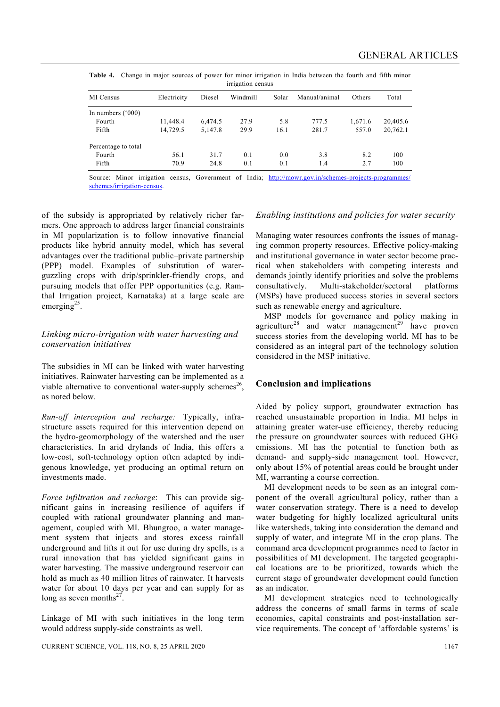|                   | Table 4. Change in major sources of power for minor irrigation in India between the fourth and fifth minor |  |  |  |  |  |  |  |  |  |  |  |
|-------------------|------------------------------------------------------------------------------------------------------------|--|--|--|--|--|--|--|--|--|--|--|
| irrigation census |                                                                                                            |  |  |  |  |  |  |  |  |  |  |  |

| MI Census              | Electricity | Diesel  | Windmill | Solar | Manual/animal | Others  | Total    |
|------------------------|-------------|---------|----------|-------|---------------|---------|----------|
| In numbers $(^{o}000)$ |             |         |          |       |               |         |          |
| Fourth                 | 11,448.4    | 6,474.5 | 27.9     | 5.8   | 777.5         | 1,671.6 | 20,405.6 |
| Fifth                  | 14.729.5    | 5,147.8 | 29.9     | 16.1  | 281.7         | 557.0   | 20,762.1 |
| Percentage to total    |             |         |          |       |               |         |          |
| Fourth                 | 56.1        | 31.7    | 0.1      | 0.0   | 3.8           | 8.2     | 100      |
| Fifth                  | 70.9        | 24.8    | 0.1      | 0.1   | 1.4           | 2.7     | 100      |

Source: Minor irrigation census, Government of India; http://mowr.gov.in/schemes-projects-programmes/ schemes/irrigation-census.

of the subsidy is appropriated by relatively richer farmers. One approach to address larger financial constraints in MI popularization is to follow innovative financial products like hybrid annuity model, which has several advantages over the traditional public–private partnership (PPP) model. Examples of substitution of waterguzzling crops with drip/sprinkler-friendly crops, and pursuing models that offer PPP opportunities (e.g. Ramthal Irrigation project, Karnataka) at a large scale are emerging<sup>25</sup>.

## *Linking micro-irrigation with water harvesting and conservation initiatives*

The subsidies in MI can be linked with water harvesting initiatives. Rainwater harvesting can be implemented as a viable alternative to conventional water-supply schemes<sup>26</sup>. as noted below.

*Run-off interception and recharge:* Typically, infrastructure assets required for this intervention depend on the hydro-geomorphology of the watershed and the user characteristics. In arid drylands of India, this offers a low-cost, soft-technology option often adapted by indigenous knowledge, yet producing an optimal return on investments made.

*Force infiltration and recharge*: This can provide significant gains in increasing resilience of aquifers if coupled with rational groundwater planning and management, coupled with MI. Bhungroo, a water management system that injects and stores excess rainfall underground and lifts it out for use during dry spells, is a rural innovation that has yielded significant gains in water harvesting. The massive underground reservoir can hold as much as 40 million litres of rainwater. It harvests water for about 10 days per year and can supply for as long as seven months $^{27}$ .

Linkage of MI with such initiatives in the long term would address supply-side constraints as well.

## *Enabling institutions and policies for water security*

Managing water resources confronts the issues of managing common property resources. Effective policy-making and institutional governance in water sector become practical when stakeholders with competing interests and demands jointly identify priorities and solve the problems consultatively. Multi-stakeholder/sectoral platforms (MSPs) have produced success stories in several sectors such as renewable energy and agriculture.

 MSP models for governance and policy making in agriculture<sup>28</sup> and water management<sup>29</sup> have proven success stories from the developing world. MI has to be considered as an integral part of the technology solution considered in the MSP initiative.

# **Conclusion and implications**

Aided by policy support, groundwater extraction has reached unsustainable proportion in India. MI helps in attaining greater water-use efficiency, thereby reducing the pressure on groundwater sources with reduced GHG emissions. MI has the potential to function both as demand- and supply-side management tool. However, only about 15% of potential areas could be brought under MI, warranting a course correction.

 MI development needs to be seen as an integral component of the overall agricultural policy, rather than a water conservation strategy. There is a need to develop water budgeting for highly localized agricultural units like watersheds, taking into consideration the demand and supply of water, and integrate MI in the crop plans. The command area development programmes need to factor in possibilities of MI development. The targeted geographical locations are to be prioritized, towards which the current stage of groundwater development could function as an indicator.

 MI development strategies need to technologically address the concerns of small farms in terms of scale economies, capital constraints and post-installation service requirements. The concept of 'affordable systems' is